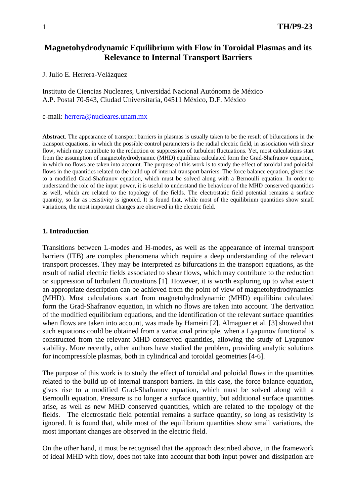# **Magnetohydrodynamic Equilibrium with Flow in Toroidal Plasmas and its Relevance to Internal Transport Barriers**

J. Julio E. Herrera-Velázquez

Instituto de Ciencias Nucleares, Universidad Nacional Autónoma de México A.P. Postal 70-543, Ciudad Universitaria, 04511 México, D.F. México

e-mail: [herrera@nucleares.unam.mx](mailto:herrera@nucleares.unam.mx)

**Abstract**. The appearance of transport barriers in plasmas is usually taken to be the result of bifurcations in the transport equations, in which the possible control parameters is the radial electric field, in association with shear flow, which may contribute to the reduction or suppression of turbulent fluctuations. Yet, most calculations start from the assumption of magnetohydrodynamic (MHD) equilibira calculated form the Grad-Shafranov equation,, in which no flows are taken into account. The purpose of this work is to study the effect of toroidal and poloidal flows in the quantities related to the build up of internal transport barriers. The force balance equation, gives rise to a modified Grad-Shafranov equation, which must be solved along with a Bernoulli equation. In order to understand the role of the input power, it is useful to understand the behaviour of the MHD conserved quantities as well, which are related to the topology of the fields. The electrostatic field potential remains a surface quantity, so far as resistivity is ignored. It is found that, while most of the equilibrium quantities show small variations, the most important changes are observed in the electric field.

#### **1. Introduction**

Transitions between L-modes and H-modes, as well as the appearance of internal transport barriers (ITB) are complex phenomena which require a deep understanding of the relevant transport processes. They may be interpreted as bifurcations in the transport equations, as the result of radial electric fields associated to shear flows, which may contribute to the reduction or suppression of turbulent fluctuations [1]. However, it is worth exploring up to what extent an appropriate description can be achieved from the point of view of magnetohydrodynamics (MHD). Most calculations start from magnetohydrodynamic (MHD) equilibira calculated form the Grad-Shafranov equation, in which no flows are taken into account. The derivation of the modified equilibrium equations, and the identification of the relevant surface quantities when flows are taken into account, was made by Hameiri [2]. Almaguer et al. [3] showed that such equations could be obtained from a variational principle, when a Lyapunov functional is constructed from the relevant MHD conserved quantities, allowing the study of Lyapunov stability. More recently, other authors have studied the problem, providing analytic solutions for incompressible plasmas, both in cylindrical and toroidal geometries [4-6].

The purpose of this work is to study the effect of toroidal and poloidal flows in the quantities related to the build up of internal transport barriers. In this case, the force balance equation, gives rise to a modified Grad-Shafranov equation, which must be solved along with a Bernoulli equation. Pressure is no longer a surface quantity, but additional surface quantities arise, as well as new MHD conserved quantities, which are related to the topology of the fields. The electrostatic field potential remains a surface quantity, so long as resistivity is ignored. It is found that, while most of the equilibrium quantities show small variations, the most important changes are observed in the electric field.

On the other hand, it must be recognised that the approach described above, in the framework of ideal MHD with flow, does not take into account that both input power and dissipation are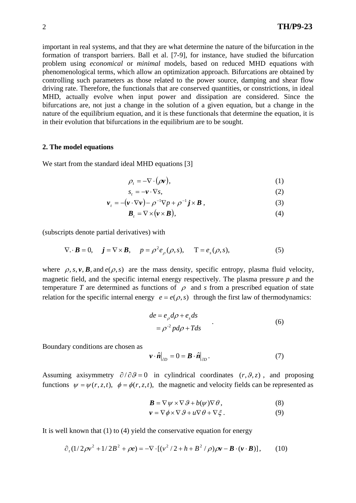important in real systems, and that they are what determine the nature of the bifurcation in the formation of transport barriers. Ball et al. [7-9], for instance, have studied the bifurcation problem using *economical* or *minimal* models, based on reduced MHD equations with phenomenological terms, which allow an optimization approach. Bifurcations are obtained by controlling such parameters as those related to the power source, damping and shear flow driving rate. Therefore, the functionals that are conserved quantities, or constrictions, in ideal MHD, actually evolve when input power and dissipation are considered. Since the bifurcations are, not just a change in the solution of a given equation, but a change in the nature of the equilibrium equation, and it is these functionals that determine the equation, it is in their evolution that bifurcations in the equilibrium are to be sought.

## **2. The model equations**

We start from the standard ideal MHD equations [3]

$$
\rho_t = -\nabla \cdot (\rho \mathbf{v}),\tag{1}
$$

$$
s_t = -\mathbf{v} \cdot \nabla s,\tag{2}
$$

$$
\boldsymbol{v}_t = -(\boldsymbol{v} \cdot \nabla \boldsymbol{v}) - \rho^{-1} \nabla p + \rho^{-1} \boldsymbol{j} \times \boldsymbol{B} \,, \tag{3}
$$

$$
\boldsymbol{B}_{t} = \nabla \times (\boldsymbol{v} \times \boldsymbol{B}), \tag{4}
$$

(subscripts denote partial derivatives) with

$$
\nabla \cdot \mathbf{B} = 0, \quad \mathbf{j} = \nabla \times \mathbf{B}, \quad p = \rho^2 e_{\rho}(\rho, s), \quad \mathbf{T} = e_s(\rho, s), \tag{5}
$$

where  $\rho$ , *s*, **v**, **B**, and  $e(\rho, s)$  are the mass density, specific entropy, plasma fluid velocity, magnetic field, and the specific internal energy respectively. The plasma pressure *p* and the temperature *T* are determined as functions of  $\rho$  and *s* from a prescribed equation of state relation for the specific internal energy  $e = e(\rho, s)$  through the first law of thermodynamics:

$$
de = e_{\rho} d\rho + e_s ds
$$
  
=  $\rho^{-2} p d\rho + T ds$  (6)

Boundary conditions are chosen as

$$
\boldsymbol{v} \cdot \hat{\boldsymbol{n}}\big|_{\partial D} = 0 = \boldsymbol{B} \cdot \hat{\boldsymbol{n}}\big|_{\partial D}.
$$
 (7)

Assuming axisymmetry  $\partial/\partial \theta = 0$  in cylindrical coordinates  $(r, \theta, z)$ , and proposing functions  $\psi = \psi(r, z, t)$ ,  $\phi = \phi(r, z, t)$ , the magnetic and velocity fields can be represented as

$$
\mathbf{B} = \nabla \psi \times \nabla \mathcal{G} + b(\psi) \nabla \theta, \tag{8}
$$

$$
\mathbf{v} = \nabla \phi \times \nabla \mathcal{G} + u \nabla \theta + \nabla \xi.
$$
 (9)

It is well known that (1) to (4) yield the conservative equation for energy

$$
\partial_{t}(1/2\rho v^{2} + 1/2B^{2} + \rho e) = -\nabla \cdot [(\nu^{2}/2 + h + B^{2}/\rho)\rho v - B \cdot (v \cdot B)], \qquad (10)
$$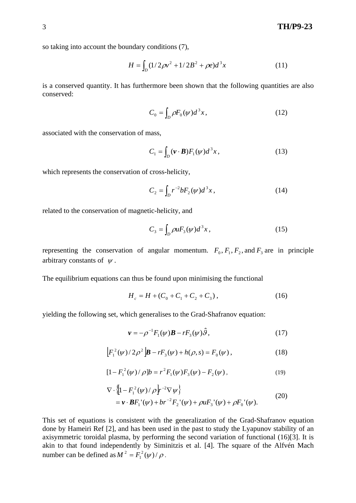so taking into account the boundary conditions (7),

$$
H = \int_{D} (1/2\rho v^2 + 1/2B^2 + \rho e)d^3x
$$
 (11)

is a conserved quantity. It has furthermore been shown that the following quantities are also conserved:

$$
C_0 = \int_D \rho F_0(\psi) d^3 x,\tag{12}
$$

associated with the conservation of mass,

$$
C_1 = \int_D (\mathbf{v} \cdot \mathbf{B}) F_1(\psi) d^3 x, \qquad (13)
$$

which represents the conservation of cross-helicity,

$$
C_2 = \int_D r^{-2} b F_2(\psi) d^3 x, \qquad (14)
$$

related to the conservation of magnetic-helicity, and

$$
C_3 = \int_D \rho u F_3(\psi) d^3 x \,, \tag{15}
$$

representing the conservation of angular momentum.  $F_0$ ,  $F_1$ ,  $F_2$ , and  $F_3$  are in principle arbitrary constants of  $\psi$ .

The equilibrium equations can thus be found upon minimising the functional

$$
H_c = H + (C_0 + C_1 + C_2 + C_3), \tag{16}
$$

yielding the following set, which generalises to the Grad-Shafranov equation:

$$
\mathbf{v} = -\rho^{-1} F_1(\psi)\mathbf{B} - rF_3(\psi)\hat{\mathbf{\theta}},\tag{17}
$$

$$
\[F_1^2(\psi)/2\rho^2\]\boldsymbol{B} - rF_3(\psi) + h(\rho, s) = F_0(\psi)\,,\tag{18}
$$

$$
[1 - F_1^2(\psi) / \rho]b = r^2 F_1(\psi) F_3(\psi) - F_2(\psi), \qquad (19)
$$

$$
\nabla \cdot \left\{ \left[ 1 - F_1^2(\psi) / \rho \right] r^{-2} \nabla \psi \right\} \n= \mathbf{v} \cdot \mathbf{B} F_1^{\ \prime}(\psi) + b r^{-2} F_2^{\ \prime}(\psi) + \rho u F_3^{\ \prime}(\psi) + \rho F_0^{\ \prime}(\psi).
$$
\n(20)

This set of equations is consistent with the generalization of the Grad-Shafranov equation done by Hameiri Ref [2], and has been used in the past to study the Lyapunov stability of an axisymmetric toroidal plasma, by performing the second variation of functional (16)[3]. It is akin to that found independently by Siminitzis et al. [4]. The square of the Alfvén Mach number can be defined as  $M^2 = F_1^2(\psi)/\rho$ .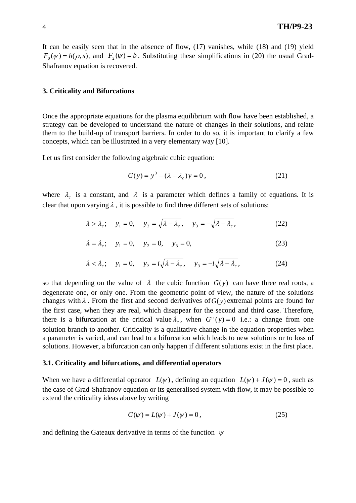It can be easily seen that in the absence of flow, (17) vanishes, while (18) and (19) yield  $F_0(\psi) = h(\rho, s)$ , and  $F_2(\psi) = b$ . Substituting these simplifications in (20) the usual Grad-Shafranov equation is recovered.

### **3. Criticality and Bifurcations**

Once the appropriate equations for the plasma equilibrium with flow have been established, a strategy can be developed to understand the nature of changes in their solutions, and relate them to the build-up of transport barriers. In order to do so, it is important to clarify a few concepts, which can be illustrated in a very elementary way [10].

Let us first consider the following algebraic cubic equation:

$$
G(y) = y^3 - (\lambda - \lambda_c)y = 0,
$$
 (21)

where  $\lambda_c$  is a constant, and  $\lambda$  is a parameter which defines a family of equations. It is clear that upon varying  $\lambda$ , it is possible to find three different sets of solutions;

$$
\lambda > \lambda_c
$$
;  $y_1 = 0$ ,  $y_2 = \sqrt{\lambda - \lambda_c}$ ,  $y_3 = -\sqrt{\lambda - \lambda_c}$ , (22)

$$
\lambda = \lambda_c; \quad y_1 = 0, \quad y_2 = 0, \quad y_3 = 0,
$$
\n(23)

$$
\lambda < \lambda_c
$$
;  $y_1 = 0$ ,  $y_2 = i\sqrt{\lambda - \lambda_c}$ ,  $y_3 = -i\sqrt{\lambda - \lambda_c}$ , (24)

so that depending on the value of  $\lambda$  the cubic function  $G(y)$  can have three real roots, a degenerate one, or only one. From the geometric point of view, the nature of the solutions changes with  $\lambda$ . From the first and second derivatives of  $G(y)$  extremal points are found for the first case, when they are real, which disappear for the second and third case. Therefore, there is a bifurcation at the critical value  $\lambda_c$ , when  $G''(y) = 0$  i.e.: a change from one solution branch to another. Criticality is a qualitative change in the equation properties when a parameter is varied, and can lead to a bifurcation which leads to new solutions or to loss of solutions. However, a bifurcation can only happen if different solutions exist in the first place.

#### **3.1. Criticality and bifurcations, and differential operators**

When we have a differential operator  $L(\psi)$ , defining an equation  $L(\psi) + J(\psi) = 0$ , such as the case of Grad-Shafranov equation or its generalised system with flow, it may be possible to extend the criticality ideas above by writing

$$
G(\psi) = L(\psi) + J(\psi) = 0,
$$
\n(25)

and defining the Gateaux derivative in terms of the function  $\psi$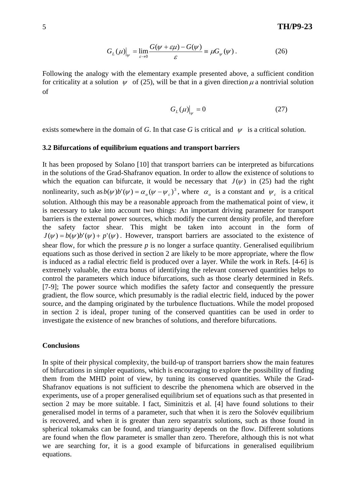$$
G_L(\mu)|_{\psi} = \lim_{\varepsilon \to 0} \frac{G(\psi + \varepsilon \mu) - G(\psi)}{\varepsilon} = \mu G_{\psi}(\psi). \tag{26}
$$

Following the analogy with the elementary example presented above, a sufficient condition for criticality at a solution  $\psi$  of (25), will be that in a given direction  $\mu$  a nontrivial solution of

$$
G_L(\mu)|_{\psi} = 0 \tag{27}
$$

exists somewhere in the domain of *G*. In that case *G* is critical and  $\psi$  is a critical solution.

#### **3.2 Bifurcations of equilibrium equations and transport barriers**

It has been proposed by Solano [10] that transport barriers can be interpreted as bifurcations in the solutions of the Grad-Shafranov equation. In order to allow the existence of solutions to which the equation can bifurcate, it would be necessary that  $J(\psi)$  in (25) had the right nonlinearity, such as  $b(\psi)b'(\psi) = \alpha_o(\psi - \psi_c)^3$ , where  $\alpha_o$  is a constant and  $\psi_c$  is a critical solution. Although this may be a reasonable approach from the mathematical point of view, it is necessary to take into account two things: An important driving parameter for transport barriers is the external power sources, which modify the current density profile, and therefore the safety factor shear. This might be taken into account in the form of  $J(\psi) = b(\psi)b'(\psi) + p'(\psi)$ . However, transport barriers are associated to the existence of shear flow, for which the pressure  $p$  is no longer a surface quantity. Generalised equilibrium equations such as those derived in section 2 are likely to be more appropriate, where the flow is induced as a radial electric field is produced over a layer. While the work in Refs. [4-6] is extremely valuable, the extra bonus of identifying the relevant conserved quantities helps to control the parameters which induce bifurcations, such as those clearly determined in Refs. [7-9]; The power source which modifies the safety factor and consequently the pressure gradient, the flow source, which presumably is the radial electric field, induced by the power source, and the damping originated by the turbulence fluctuations. While the model proposed in section 2 is ideal, proper tuning of the conserved quantities can be used in order to investigate the existence of new branches of solutions, and therefore bifurcations.

#### **Conclusions**

In spite of their physical complexity, the build-up of transport barriers show the main features of bifurcations in simpler equations, which is encouraging to explore the possibility of finding them from the MHD point of view, by tuning its conserved quantities. While the Grad-Shafranov equations is not sufficient to describe the phenomena which are observed in the experiments, use of a proper generalised equilibrium set of equations such as that presented in section 2 may be more suitable. I fact, Siminitzis et al. [4] have found solutions to their generalised model in terms of a parameter, such that when it is zero the Solovév equilibrium is recovered, and when it is greater than zero separatrix solutions, such as those found in spherical tokamaks can be found, and trianguarity depends on the flow. Different solutions are found when the flow parameter is smaller than zero. Therefore, although this is not what we are searching for, it is a good example of bifurcations in generalised equilibrium equations.